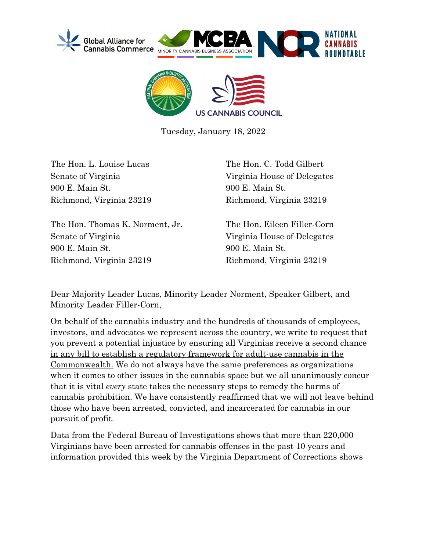



Tuesday, January 18, 2022

The Hon. L. Louise Lucas Senate of Virginia 900 E. Main St. Richmond, Virginia 23219

The Hon. Thomas K. Norment, Jr. Senate of Virginia 900 E. Main St. Richmond, Virginia 23219

The Hon. C. Todd Gilbert Virginia House of Delegates 900 E. Main St. Richmond, Virginia 23219

The Hon. Eileen Filler-Corn Virginia House of Delegates 900 E. Main St. Richmond, Virginia 23219

Dear Majority Leader Lucas, Minority Leader Norment, Speaker Gilbert, and Minority Leader Filler-Corn,

On behalf of the cannabis industry and the hundreds of thousands of employees, investors, and advocates we represent across the country, we write to request that you prevent a potential injustice by ensuring all Virginias receive a second chance in any bill to establish a regulatory framework for adult-use cannabis in the Commonwealth. We do not always have the same preferences as organizations when it comes to other issues in the cannabis space but we all unanimously concur that it is vital *every* state takes the necessary steps to remedy the harms of cannabis prohibition. We have consistently reaffirmed that we will not leave behind those who have been arrested, convicted, and incarcerated for cannabis in our pursuit of profit.

Data from the Federal Bureau of Investigations shows that more than 220,000 Virginians have been arrested for cannabis offenses in the past 10 years and information provided this week by the Virginia Department of Corrections shows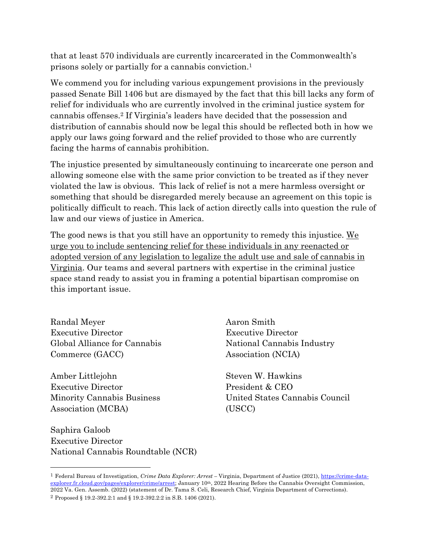that at least 570 individuals are currently incarcerated in the Commonwealth's prisons solely or partially for a cannabis conviction.1

We commend you for including various expungement provisions in the previously passed Senate Bill 1406 but are dismayed by the fact that this bill lacks any form of relief for individuals who are currently involved in the criminal justice system for cannabis offenses.2 If Virginia's leaders have decided that the possession and distribution of cannabis should now be legal this should be reflected both in how we apply our laws going forward and the relief provided to those who are currently facing the harms of cannabis prohibition.

The injustice presented by simultaneously continuing to incarcerate one person and allowing someone else with the same prior conviction to be treated as if they never violated the law is obvious. This lack of relief is not a mere harmless oversight or something that should be disregarded merely because an agreement on this topic is politically difficult to reach. This lack of action directly calls into question the rule of law and our views of justice in America.

The good news is that you still have an opportunity to remedy this injustice. We urge you to include sentencing relief for these individuals in any reenacted or adopted version of any legislation to legalize the adult use and sale of cannabis in Virginia. Our teams and several partners with expertise in the criminal justice space stand ready to assist you in framing a potential bipartisan compromise on this important issue.

Randal Meyer Executive Director Global Alliance for Cannabis Commerce (GACC)

Amber Littlejohn Executive Director Minority Cannabis Business Association (MCBA)

Saphira Galoob Executive Director National Cannabis Roundtable (NCR) Aaron Smith Executive Director National Cannabis Industry Association (NCIA)

Steven W. Hawkins President & CEO United States Cannabis Council (USCC)

<sup>1</sup> Federal Bureau of Investigation, *Crime Data Explorer: Arrest –* Virginia, Department of Justice (2021), https://crime-dataexplorer.fr.cloud.gov/pages/explorer/crime/arrest; January 10th, 2022 Hearing Before the Cannabis Oversight Commission, 2022 Va. Gen. Assemb. (2022) (statement of Dr. Tama S. Celi, Research Chief, Virginia Department of Corrections).

<sup>2</sup> Proposed § 19.2-392.2:1 and § 19.2-392.2:2 in S.B. 1406 (2021).